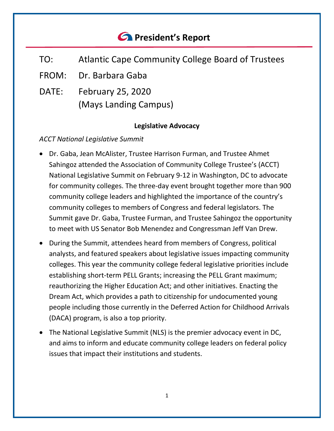# *<u>C* President's Report</u>

- TO: Atlantic Cape Community College Board of Trustees
- FROM: Dr. Barbara Gaba
- DATE: February 25, 2020 (Mays Landing Campus)

## **Legislative Advocacy**

# *ACCT National Legislative Summit*

- Dr. Gaba, Jean McAlister, Trustee Harrison Furman, and Trustee Ahmet Sahingoz attended the Association of Community College Trustee's (ACCT) National Legislative Summit on February 9-12 in Washington, DC to advocate for community colleges. The three-day event brought together more than 900 community college leaders and highlighted the importance of the country's community colleges to members of Congress and federal legislators. The Summit gave Dr. Gaba, Trustee Furman, and Trustee Sahingoz the opportunity to meet with US Senator Bob Menendez and Congressman Jeff Van Drew.
- During the Summit, attendees heard from members of Congress, political analysts, and featured speakers about legislative issues impacting community colleges. This year the community college federal legislative priorities include establishing short-term PELL Grants; increasing the PELL Grant maximum; reauthorizing the Higher Education Act; and other initiatives. Enacting the Dream Act, which provides a path to citizenship for undocumented young people including those currently in the Deferred Action for Childhood Arrivals (DACA) program, is also a top priority.
- The National Legislative Summit (NLS) is the premier advocacy event in DC, and aims to inform and educate community college leaders on federal policy issues that impact their institutions and students.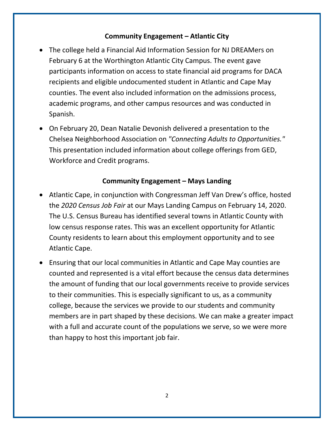#### **Community Engagement – Atlantic City**

- The college held a Financial Aid Information Session for NJ DREAMers on February 6 at the Worthington Atlantic City Campus. The event gave participants information on access to state financial aid programs for DACA recipients and eligible undocumented student in Atlantic and Cape May counties. The event also included information on the admissions process, academic programs, and other campus resources and was conducted in Spanish.
- On February 20, Dean Natalie Devonish delivered a presentation to the Chelsea Neighborhood Association on *"Connecting Adults to Opportunities."* This presentation included information about college offerings from GED, Workforce and Credit programs.

#### **Community Engagement – Mays Landing**

- Atlantic Cape, in conjunction with Congressman Jeff Van Drew's office, hosted the *2020 Census Job Fair* at our Mays Landing Campus on February 14, 2020. The U.S. Census Bureau has identified several towns in Atlantic County with low census response rates. This was an excellent opportunity for Atlantic County residents to learn about this employment opportunity and to see Atlantic Cape.
- Ensuring that our local communities in Atlantic and Cape May counties are counted and represented is a vital effort because the census data determines the amount of funding that our local governments receive to provide services to their communities. This is especially significant to us, as a community college, because the services we provide to our students and community members are in part shaped by these decisions. We can make a greater impact with a full and accurate count of the populations we serve, so we were more than happy to host this important job fair.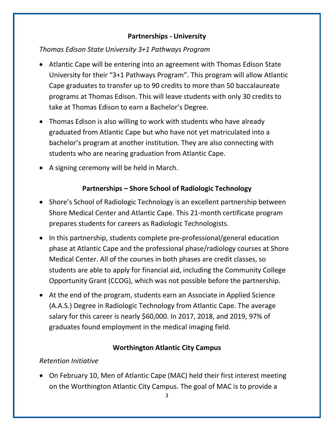#### **Partnerships - University**

*Thomas Edison State University 3+1 Pathways Program*

- Atlantic Cape will be entering into an agreement with Thomas Edison State University for their "3+1 Pathways Program". This program will allow Atlantic Cape graduates to transfer up to 90 credits to more than 50 baccalaureate programs at Thomas Edison. This will leave students with only 30 credits to take at Thomas Edison to earn a Bachelor's Degree.
- Thomas Edison is also willing to work with students who have already graduated from Atlantic Cape but who have not yet matriculated into a bachelor's program at another institution. They are also connecting with students who are nearing graduation from Atlantic Cape.
- A signing ceremony will be held in March.

# **Partnerships – Shore School of Radiologic Technology**

- Shore's School of Radiologic Technology is an excellent partnership between Shore Medical Center and Atlantic Cape. This 21-month certificate program prepares students for careers as Radiologic Technologists.
- In this partnership, students complete pre-professional/general education phase at Atlantic Cape and the professional phase/radiology courses at Shore Medical Center. All of the courses in both phases are credit classes, so students are able to apply for financial aid, including the Community College Opportunity Grant (CCOG), which was not possible before the partnership.
- At the end of the program, students earn an Associate in Applied Science (A.A.S.) Degree in Radiologic Technology from Atlantic Cape. The average salary for this career is nearly \$60,000. In 2017, 2018, and 2019, 97% of graduates found employment in the medical imaging field.

## **Worthington Atlantic City Campus**

## *Retention Initiative*

• On February 10, Men of Atlantic Cape (MAC) held their first interest meeting on the Worthington Atlantic City Campus. The goal of MAC is to provide a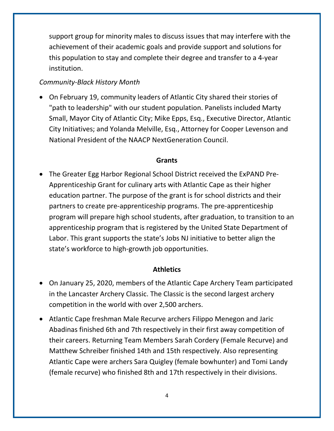support group for minority males to discuss issues that may interfere with the achievement of their academic goals and provide support and solutions for this population to stay and complete their degree and transfer to a 4-year institution.

#### *Community-Black History Month*

• On February 19, community leaders of Atlantic City shared their stories of "path to leadership" with our student population. Panelists included Marty Small, Mayor City of Atlantic City; Mike Epps, Esq., Executive Director, Atlantic City Initiatives; and Yolanda Melville, Esq., Attorney for Cooper Levenson and National President of the NAACP NextGeneration Council.

#### **Grants**

• The Greater Egg Harbor Regional School District received the ExPAND Pre-Apprenticeship Grant for culinary arts with Atlantic Cape as their higher education partner. The purpose of the grant is for school districts and their partners to create pre-apprenticeship programs. The pre-apprenticeship program will prepare high school students, after graduation, to transition to an apprenticeship program that is registered by the United State Department of Labor. This grant supports the state's Jobs NJ initiative to better align the state's workforce to high-growth job opportunities.

#### **Athletics**

- On January 25, 2020, members of the Atlantic Cape Archery Team participated in the Lancaster Archery Classic. The Classic is the second largest archery competition in the world with over 2,500 archers.
- Atlantic Cape freshman Male Recurve archers Filippo Menegon and Jaric Abadinas finished 6th and 7th respectively in their first away competition of their careers. Returning Team Members Sarah Cordery (Female Recurve) and Matthew Schreiber finished 14th and 15th respectively. Also representing Atlantic Cape were archers Sara Quigley (female bowhunter) and Tomi Landy (female recurve) who finished 8th and 17th respectively in their divisions.